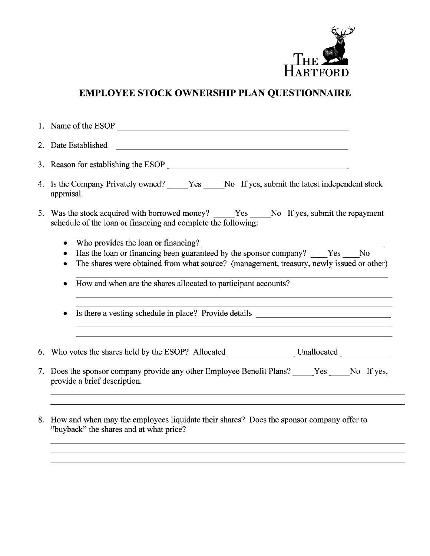

## EMPLOYEE STOCK OWNERSHIP PLAN QUESTIONNAIRE

|    | 4. Is the Company Privately owned? _____Yes _____No If yes, submit the latest independent stock<br>appraisal.                                                                                                                                                                                        |  |  |  |  |  |
|----|------------------------------------------------------------------------------------------------------------------------------------------------------------------------------------------------------------------------------------------------------------------------------------------------------|--|--|--|--|--|
|    | 5. Was the stock acquired with borrowed money? ______Yes ______No If yes, submit the repayment<br>schedule of the loan or financing and complete the following:                                                                                                                                      |  |  |  |  |  |
|    | ٠<br>Has the loan or financing been guaranteed by the sponsor company? Yes No<br>The shares were obtained from what source? (management, treasury, newly issued or other)<br>How and when are the shares allocated to participant accounts?                                                          |  |  |  |  |  |
|    | Is there a vesting schedule in place? Provide details __________________________                                                                                                                                                                                                                     |  |  |  |  |  |
|    |                                                                                                                                                                                                                                                                                                      |  |  |  |  |  |
| 7. | Does the sponsor company provide any other Employee Benefit Plans? ______Yes ______No If yes,<br>provide a brief description.<br>,我们也不能在这里的时候,我们也不能会在这里,我们也不能会在这里,我们也不能会在这里,我们也不能会在这里的时候,我们也不能会在这里,我们也不能会不能会不能会。<br>第111章 我们的时候,我们的时候,我们的时候,我们的时候,我们的时候,我们的时候,我们的时候,我们的时候,我们的时候,我们的时候,我们的时候,我们的时候,我们 |  |  |  |  |  |
|    | 8. How and when may the employees liquidate their shares? Does the sponsor company offer to                                                                                                                                                                                                          |  |  |  |  |  |

"buyback" the shares and at what price?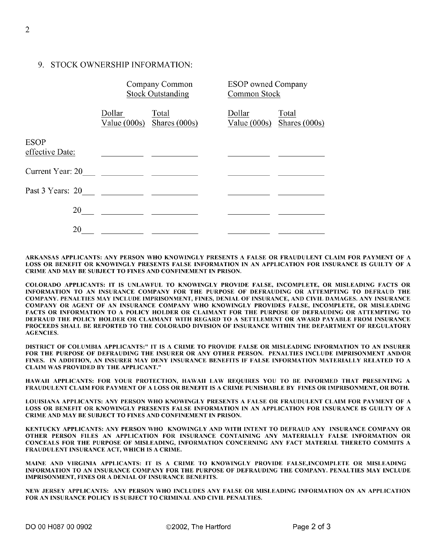## 9. STOCK OWNERSHIP INFORMATION:

|                                | Company Common<br><b>Stock Outstanding</b> |                          | <b>ESOP</b> owned Company<br>Common Stock |                        |
|--------------------------------|--------------------------------------------|--------------------------|-------------------------------------------|------------------------|
|                                | Dollar<br>Value $(000s)$                   | Total<br>Shares $(000s)$ | Dollar<br>Value $(000s)$                  | Total<br>Shares (000s) |
| <b>ESOP</b><br>effective Date: |                                            |                          |                                           |                        |
| Current Year: 20               |                                            |                          |                                           |                        |
| Past 3 Years: 20               |                                            |                          |                                           |                        |
| 20                             |                                            |                          |                                           |                        |
| 20                             |                                            |                          |                                           |                        |

ARKANSAS APPLICANTS: ANY PERSON WHO KNOWINGLY PRESENTS A FALSE OR FRAUDULENT CLAIM FOR PAYMENT OF A LOSS OR BENEFIT OR KNOWINGLY PRESENTS FALSE INFORMATION IN AN APPLICATION FOR INSURANCE IS GUILTY OF A CRIME AND MAY BE SUBJECT TO FINES AND CONFINEMENT IN PRISON.

COLORADO APPLICANTS: IT IS UNLAWFUL TO KNOWINGLY PROVIDE FALSE, INCOMPLETE, OR MISLEADING FACTS OR INFORMATION TO AN INSURANCE COMPANY FOR THE PURPOSE OF DEFRAUDING OR ATTEMPTING TO DEFRAUD THE COMPANY. PENALTIES MAY INCLUDE IMPRISONMENT, FINES, DENIAL OF INSURANCE, AND CIVIL DAMAGES. ANY INSURANCE COMPANY OR AGENT OF AN INSURANCE COMPANY WHO KNOWINGLY PROVIDES FALSE, INCOMPLETE, OR MISLEADING FACTS OR INFORMATION TO A POLICY HOLDER OR CLAIMANT FOR THE PURPOSE OF DEFRAUDING OR ATTEMPTING TO DEFRAUD THE POLICY HOLDER OR CLAIMANT WITH REGARD TO A SETTLEMENT OR AWARD PAYABLE FROM INSURANCE PROCEEDS SHALL BE REPORTED TO THE COLORADO DIVISION OF INSURANCE WITHIN THE DEPARTMENT OF REGULATORY AGENCIES.

DISTRICT OF COLUMBIA APPLICANTS:" IT IS A CRIME TO PROVIDE FALSE OR MISLEADING INFORMATION TO AN INSURER FOR THE PURPOSE OF DEFRAUDING THE INSURER OR ANY OTHER PERSON. PENALTIES INCLUDE IMPRISONMENT AND/OR FINES. IN ADDITION, AN INSURER MAY DENY INSURANCE BENEFITS IF FALSE INFORMATION MATERIALLY RELATED TO A CLAIM WAS PROVIDED BY THE APPLICANT."

HAWAII APPLICANTS: FOR YOUR PROTECTION, HAWAII LAW REQUIRES YOU TO BE INFORMED THAT PRESENTING A FRAUDULENT CLAIM FOR PAYMENT OF A LOSS OR BENEFIT IS A CRIME PUNISHABLE BY FINES OR IMPRISONMENT, OR BOTH.

LOUISIANA APPLICANTS: ANY PERSON WHO KNOWINGLY PRESENTS A FALSE OR FRAUDULENT CLAIM FOR PAYMENT OF A LOSS OR BENEFIT OR KNOWINGLY PRESENTS FALSE INFORMATION IN AN APPLICATION FOR INSURANCE IS GUILTY OF A CRIME AND MAY BE SUBJECT TO FINES AND CONFINEMENT IN PRISON.

KENTUCKY APPLICANTS: ANY PERSON WHO KNOWINGLY AND WITH INTENT TO DEFRAUD ANY INSURANCE COMPANY OR OTHER PERSON FILES AN APPLICATION FOR INSURANCE CONTAINING ANY MATERIALLY FALSE INFORMATION OR CONCEALS FOR THE PURPOSE OF MISLEADING, INFORMATION CONCERNING ANY FACT MATERIAL THERETO COMMITS A FRAUDULENT INSURANCE ACT, WHICH IS A CRIME.

MAINE AND VIRGINIA APPLICANTS: IT IS A CRIME TO KNOWINGLY PROVIDE FALSE, INCOMPLETE OR MISLEADING INFORMATION TO AN INSURANCE COMPANY FOR THE PURPOSE OF DEFRAUDING THE COMPANY. PENALTIES MAY INCLUDE IMPRISONMENT, FINES OR A DENIAL OF INSURANCE BENEFITS.

NEW JERSEY APPLICANTS: ANY PERSON WHO INCLUDES ANY FALSE OR MISLEADING INFORMATION ON AN APPLICATION FOR AN INSURANCE POLICY IS SUBJECT TO CRIMINAL AND CIVIL PENALTIES.